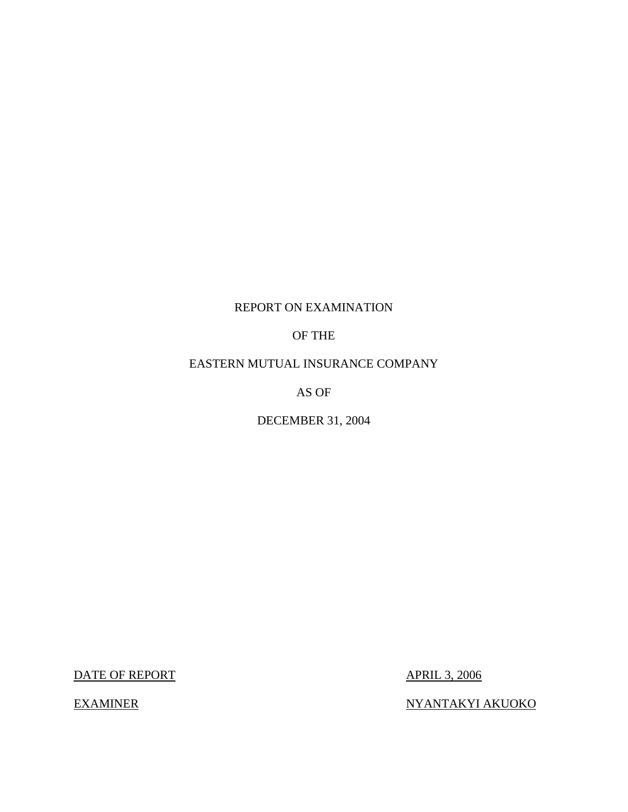## REPORT ON EXAMINATION

OF THE

EASTERN MUTUAL INSURANCE COMPANY

AS OF

DECEMBER 31, 2004

DATE OF REPORT APRIL 3, 2006

EXAMINER NYANTAKYI AKUOKO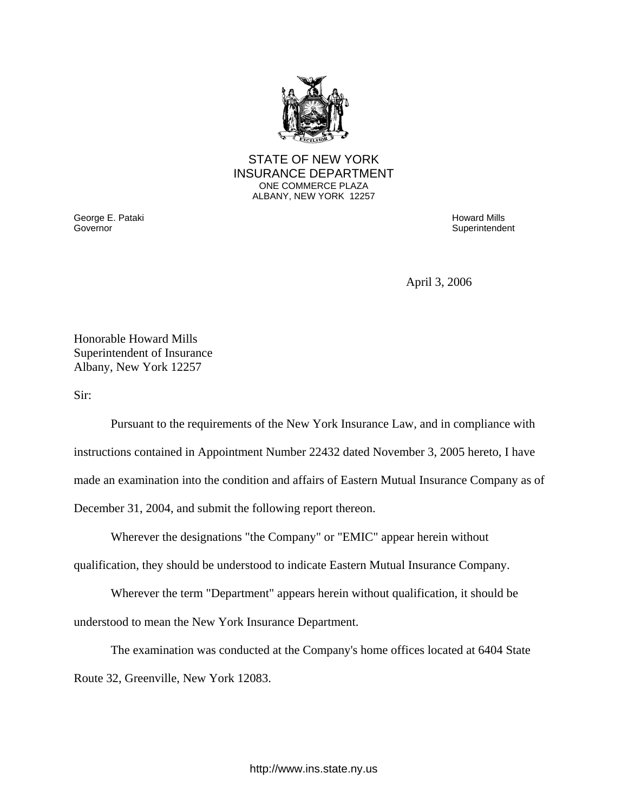

## STATE OF NEW YORK INSURANCE DEPARTMENT ONE COMMERCE PLAZA ALBANY, NEW YORK 12257

Governor George E. Pataki Governor Howard Mills

**Superintendent** 

April 3, 2006

Honorable Howard Mills Superintendent of Insurance Albany, New York 12257

Sir:

Pursuant to the requirements of the New York Insurance Law, and in compliance with instructions contained in Appointment Number 22432 dated November 3, 2005 hereto, I have made an examination into the condition and affairs of Eastern Mutual Insurance Company as of December 31, 2004, and submit the following report thereon.

Wherever the designations "the Company" or "EMIC" appear herein without

qualification, they should be understood to indicate Eastern Mutual Insurance Company.

Wherever the term "Department" appears herein without qualification, it should be understood to mean the New York Insurance Department.

The examination was conducted at the Company's home offices located at 6404 State Route 32, Greenville, New York 12083.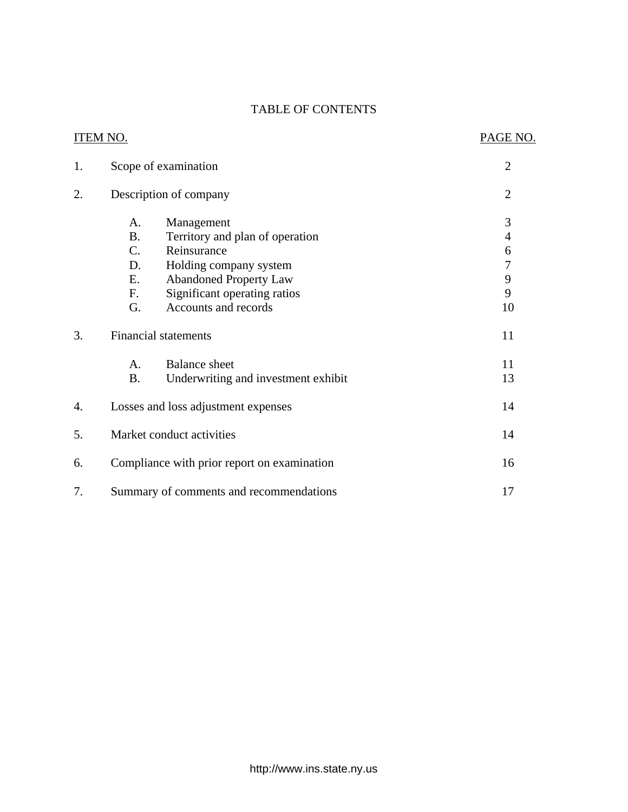## TABLE OF CONTENTS

|    | <b>ITEM NO.</b> |                                               | PAGE NO.            |
|----|-----------------|-----------------------------------------------|---------------------|
| 1. |                 | Scope of examination                          | $\overline{2}$      |
| 2. |                 | Description of company                        | $\overline{2}$      |
|    | A.<br><b>B.</b> | Management<br>Territory and plan of operation | 3<br>$\overline{4}$ |
|    | $C_{\cdot}$     | Reinsurance                                   | 6                   |
|    | D.              | Holding company system                        | $\boldsymbol{7}$    |
|    | E.              | <b>Abandoned Property Law</b>                 | 9                   |
|    | F.              | Significant operating ratios                  | 9                   |
|    | G.              | Accounts and records                          | 10                  |
| 3. |                 | <b>Financial statements</b>                   | 11                  |
|    | А.              | <b>Balance</b> sheet                          | 11                  |
|    | <b>B.</b>       | Underwriting and investment exhibit           | 13                  |
| 4. |                 | Losses and loss adjustment expenses           | 14                  |
| 5. |                 | Market conduct activities                     | 14                  |
| 6. |                 | Compliance with prior report on examination   | 16                  |
| 7. |                 | Summary of comments and recommendations       | 17                  |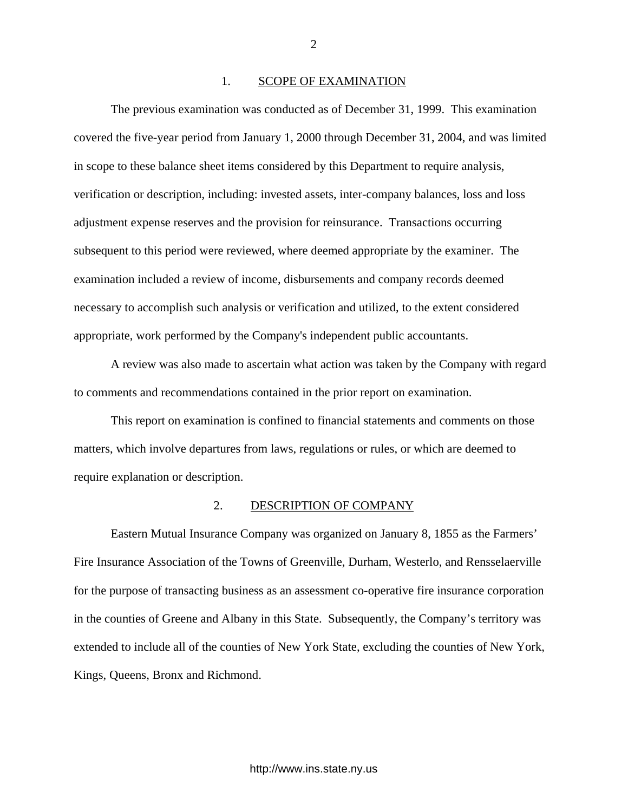#### 1. SCOPE OF EXAMINATION

The previous examination was conducted as of December 31, 1999. This examination covered the five-year period from January 1, 2000 through December 31, 2004, and was limited in scope to these balance sheet items considered by this Department to require analysis, verification or description, including: invested assets, inter-company balances, loss and loss adjustment expense reserves and the provision for reinsurance. Transactions occurring subsequent to this period were reviewed, where deemed appropriate by the examiner. The examination included a review of income, disbursements and company records deemed necessary to accomplish such analysis or verification and utilized, to the extent considered appropriate, work performed by the Company's independent public accountants.

A review was also made to ascertain what action was taken by the Company with regard to comments and recommendations contained in the prior report on examination.

This report on examination is confined to financial statements and comments on those matters, which involve departures from laws, regulations or rules, or which are deemed to require explanation or description.

#### 2. DESCRIPTION OF COMPANY

Eastern Mutual Insurance Company was organized on January 8, 1855 as the Farmers' Fire Insurance Association of the Towns of Greenville, Durham, Westerlo, and Rensselaerville for the purpose of transacting business as an assessment co-operative fire insurance corporation in the counties of Greene and Albany in this State. Subsequently, the Company's territory was extended to include all of the counties of New York State, excluding the counties of New York, Kings, Queens, Bronx and Richmond.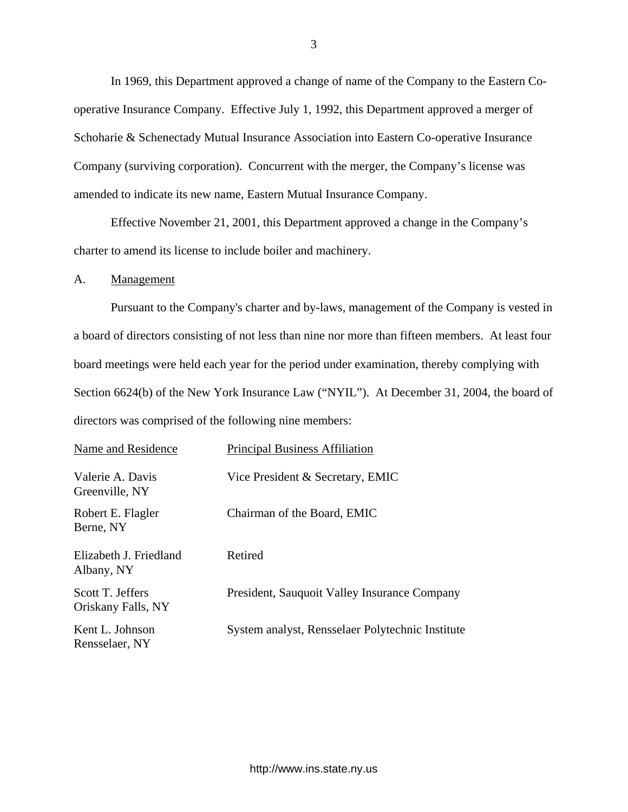<span id="page-4-0"></span>In 1969, this Department approved a change of name of the Company to the Eastern Cooperative Insurance Company. Effective July 1, 1992, this Department approved a merger of Schoharie & Schenectady Mutual Insurance Association into Eastern Co-operative Insurance Company (surviving corporation). Concurrent with the merger, the Company's license was amended to indicate its new name, Eastern Mutual Insurance Company.

Effective November 21, 2001, this Department approved a change in the Company's charter to amend its license to include boiler and machinery.

A. Management

Pursuant to the Company's charter and by-laws, management of the Company is vested in a board of directors consisting of not less than nine nor more than fifteen members. At least four board meetings were held each year for the period under examination, thereby complying with Section 6624(b) of the New York Insurance Law ("NYIL"). At December 31, 2004, the board of directors was comprised of the following nine members:

| Name and Residence                     | <b>Principal Business Affiliation</b>            |
|----------------------------------------|--------------------------------------------------|
| Valerie A. Davis<br>Greenville, NY     | Vice President & Secretary, EMIC                 |
| Robert E. Flagler<br>Berne, NY         | Chairman of the Board, EMIC                      |
| Elizabeth J. Friedland<br>Albany, NY   | Retired                                          |
| Scott T. Jeffers<br>Oriskany Falls, NY | President, Sauquoit Valley Insurance Company     |
| Kent L. Johnson<br>Rensselaer, NY      | System analyst, Rensselaer Polytechnic Institute |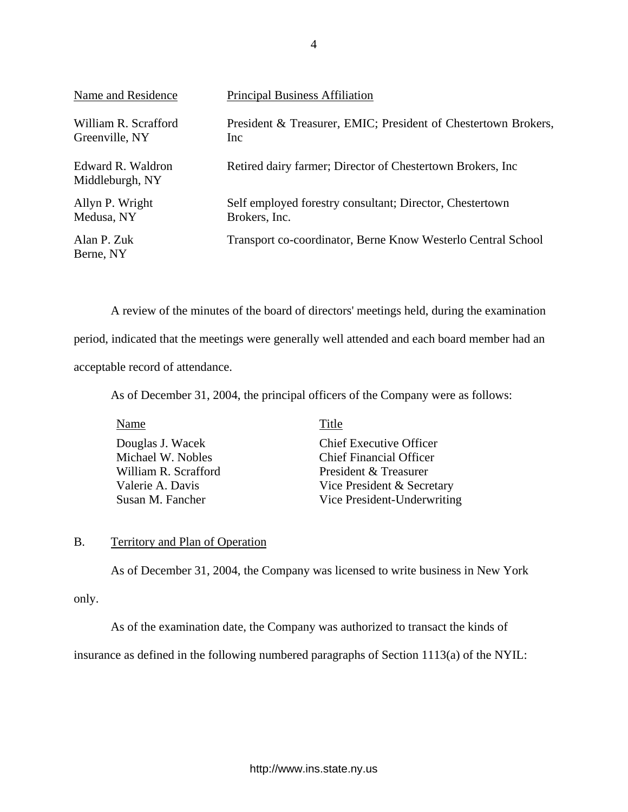<span id="page-5-0"></span>

| Name and Residence                     | <b>Principal Business Affiliation</b>                                     |
|----------------------------------------|---------------------------------------------------------------------------|
| William R. Scrafford<br>Greenville, NY | President & Treasurer, EMIC; President of Chestertown Brokers,<br>Inc.    |
| Edward R. Waldron<br>Middleburgh, NY   | Retired dairy farmer; Director of Chestertown Brokers, Inc.               |
| Allyn P. Wright<br>Medusa, NY          | Self employed forestry consultant; Director, Chestertown<br>Brokers, Inc. |
| Alan P. Zuk<br>Berne, NY               | Transport co-coordinator, Berne Know Westerlo Central School              |

A review of the minutes of the board of directors' meetings held, during the examination period, indicated that the meetings were generally well attended and each board member had an acceptable record of attendance.

As of December 31, 2004, the principal officers of the Company were as follows:

Name Title Douglas J. Wacek Chief Executive Officer Michael W. Nobles Chief Financial Officer William R. Scrafford President & Treasurer Valerie A. Davis Vice President & Secretary Susan M. Fancher Vice President-Underwriting

## B. Territory and Plan of Operation

As of December 31, 2004, the Company was licensed to write business in New York

only.

As of the examination date, the Company was authorized to transact the kinds of

insurance as defined in the following numbered paragraphs of Section 1113(a) of the NYIL: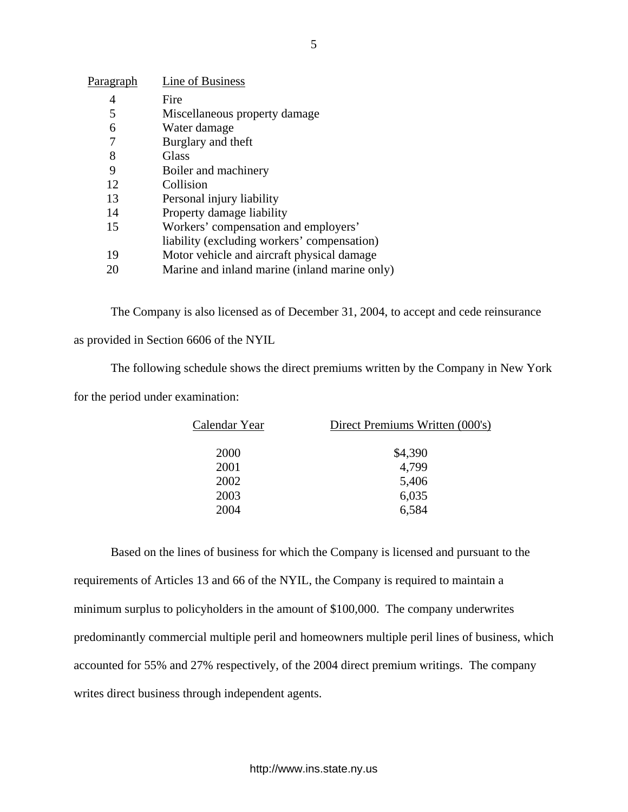| Paragraph | Line of Business                              |
|-----------|-----------------------------------------------|
| 4         | Fire                                          |
| 5         | Miscellaneous property damage                 |
| 6         | Water damage                                  |
| 7         | Burglary and theft                            |
| 8         | Glass                                         |
| 9         | Boiler and machinery                          |
| 12        | Collision                                     |
| 13        | Personal injury liability                     |
| 14        | Property damage liability                     |
| 15        | Workers' compensation and employers'          |
|           | liability (excluding workers' compensation)   |
| 19        | Motor vehicle and aircraft physical damage    |
|           | Marine and inland marine (inland marine only) |

The Company is also licensed as of December 31, 2004, to accept and cede reinsurance

as provided in Section 6606 of the NYIL

The following schedule shows the direct premiums written by the Company in New York

for the period under examination:

| Calendar Year | Direct Premiums Written (000's) |
|---------------|---------------------------------|
| 2000          | \$4,390                         |
| 2001          | 4,799                           |
| 2002          | 5,406                           |
| 2003          | 6,035                           |
| 2004          | 6,584                           |

Based on the lines of business for which the Company is licensed and pursuant to the requirements of Articles 13 and 66 of the NYIL, the Company is required to maintain a minimum surplus to policyholders in the amount of \$100,000. The company underwrites predominantly commercial multiple peril and homeowners multiple peril lines of business, which accounted for 55% and 27% respectively, of the 2004 direct premium writings. The company writes direct business through independent agents.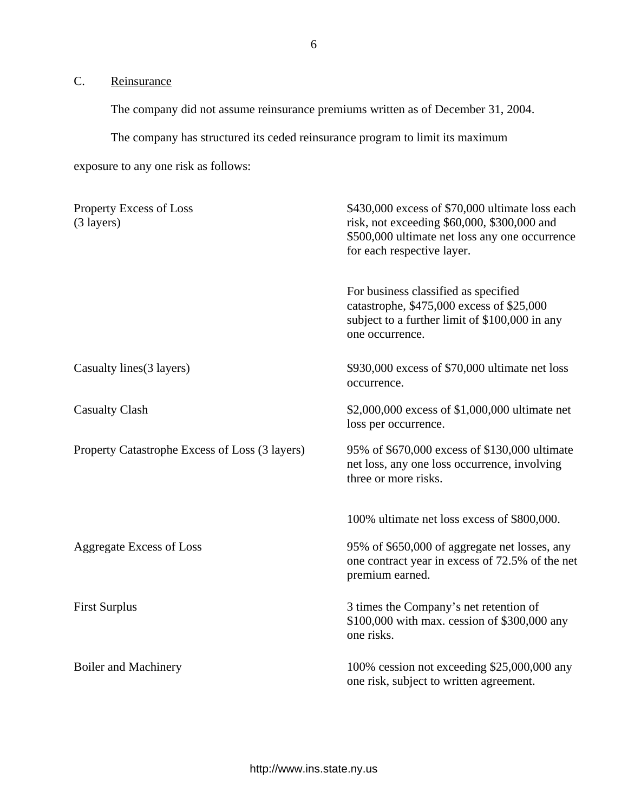<span id="page-7-0"></span>C. Reinsurance

The company did not assume reinsurance premiums written as of December 31, 2004.

The company has structured its ceded reinsurance program to limit its maximum

exposure to any one risk as follows:

| Property Excess of Loss<br>$(3$ layers)        | \$430,000 excess of \$70,000 ultimate loss each<br>risk, not exceeding $$60,000$ , $$300,000$ and<br>\$500,000 ultimate net loss any one occurrence<br>for each respective layer. |
|------------------------------------------------|-----------------------------------------------------------------------------------------------------------------------------------------------------------------------------------|
|                                                | For business classified as specified<br>catastrophe, \$475,000 excess of \$25,000<br>subject to a further limit of \$100,000 in any<br>one occurrence.                            |
| Casualty lines (3 layers)                      | \$930,000 excess of \$70,000 ultimate net loss<br>occurrence.                                                                                                                     |
| <b>Casualty Clash</b>                          | \$2,000,000 excess of \$1,000,000 ultimate net<br>loss per occurrence.                                                                                                            |
| Property Catastrophe Excess of Loss (3 layers) | 95% of \$670,000 excess of \$130,000 ultimate<br>net loss, any one loss occurrence, involving<br>three or more risks.                                                             |
|                                                | 100% ultimate net loss excess of \$800,000.                                                                                                                                       |
| <b>Aggregate Excess of Loss</b>                | 95% of \$650,000 of aggregate net losses, any<br>one contract year in excess of 72.5% of the net<br>premium earned.                                                               |
| <b>First Surplus</b>                           | 3 times the Company's net retention of<br>\$100,000 with max. cession of \$300,000 any<br>one risks.                                                                              |
| <b>Boiler and Machinery</b>                    | 100% cession not exceeding \$25,000,000 any<br>one risk, subject to written agreement.                                                                                            |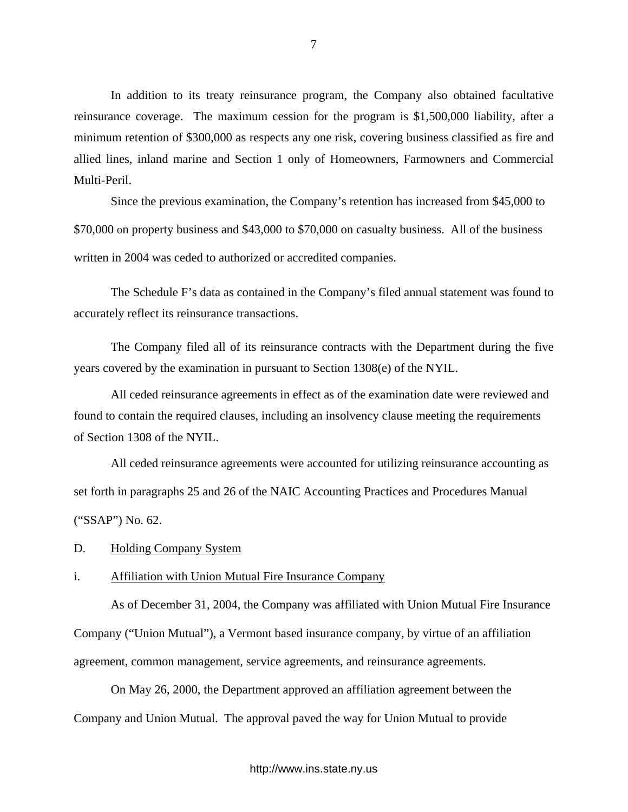<span id="page-8-0"></span>In addition to its treaty reinsurance program, the Company also obtained facultative reinsurance coverage. The maximum cession for the program is \$1,500,000 liability, after a minimum retention of \$300,000 as respects any one risk, covering business classified as fire and allied lines, inland marine and Section 1 only of Homeowners, Farmowners and Commercial Multi-Peril.

Since the previous examination, the Company's retention has increased from \$45,000 to \$70,000 on property business and \$43,000 to \$70,000 on casualty business. All of the business written in 2004 was ceded to authorized or accredited companies.

The Schedule F's data as contained in the Company's filed annual statement was found to accurately reflect its reinsurance transactions.

The Company filed all of its reinsurance contracts with the Department during the five years covered by the examination in pursuant to Section 1308(e) of the NYIL.

All ceded reinsurance agreements in effect as of the examination date were reviewed and found to contain the required clauses, including an insolvency clause meeting the requirements of Section 1308 of the NYIL.

 All ceded reinsurance agreements were accounted for utilizing reinsurance accounting as set forth in paragraphs 25 and 26 of the NAIC Accounting Practices and Procedures Manual ("SSAP") No. 62.

D. Holding Company System

## i. Affiliation with Union Mutual Fire Insurance Company

As of December 31, 2004, the Company was affiliated with Union Mutual Fire Insurance Company ("Union Mutual"), a Vermont based insurance company, by virtue of an affiliation agreement, common management, service agreements, and reinsurance agreements.

On May 26, 2000, the Department approved an affiliation agreement between the Company and Union Mutual. The approval paved the way for Union Mutual to provide

## <http://www.ins.state.ny.us>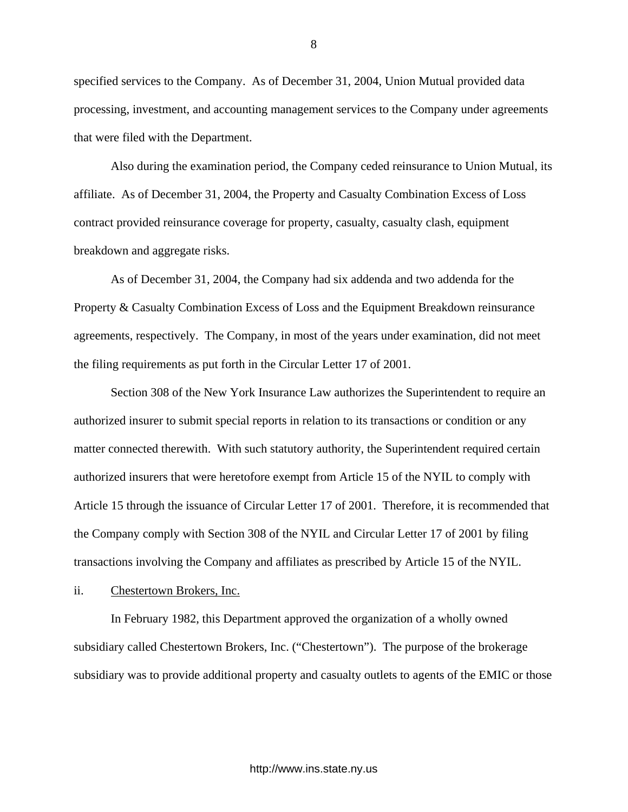specified services to the Company. As of December 31, 2004, Union Mutual provided data processing, investment, and accounting management services to the Company under agreements that were filed with the Department.

Also during the examination period, the Company ceded reinsurance to Union Mutual, its affiliate. As of December 31, 2004, the Property and Casualty Combination Excess of Loss contract provided reinsurance coverage for property, casualty, casualty clash, equipment breakdown and aggregate risks.

As of December 31, 2004, the Company had six addenda and two addenda for the Property & Casualty Combination Excess of Loss and the Equipment Breakdown reinsurance agreements, respectively. The Company, in most of the years under examination, did not meet the filing requirements as put forth in the Circular Letter 17 of 2001.

Section 308 of the New York Insurance Law authorizes the Superintendent to require an authorized insurer to submit special reports in relation to its transactions or condition or any matter connected therewith. With such statutory authority, the Superintendent required certain authorized insurers that were heretofore exempt from Article 15 of the NYIL to comply with Article 15 through the issuance of Circular Letter 17 of 2001. Therefore, it is recommended that the Company comply with Section 308 of the NYIL and Circular Letter 17 of 2001 by filing transactions involving the Company and affiliates as prescribed by Article 15 of the NYIL.

ii. Chestertown Brokers, Inc.

In February 1982, this Department approved the organization of a wholly owned subsidiary called Chestertown Brokers, Inc. ("Chestertown"). The purpose of the brokerage subsidiary was to provide additional property and casualty outlets to agents of the EMIC or those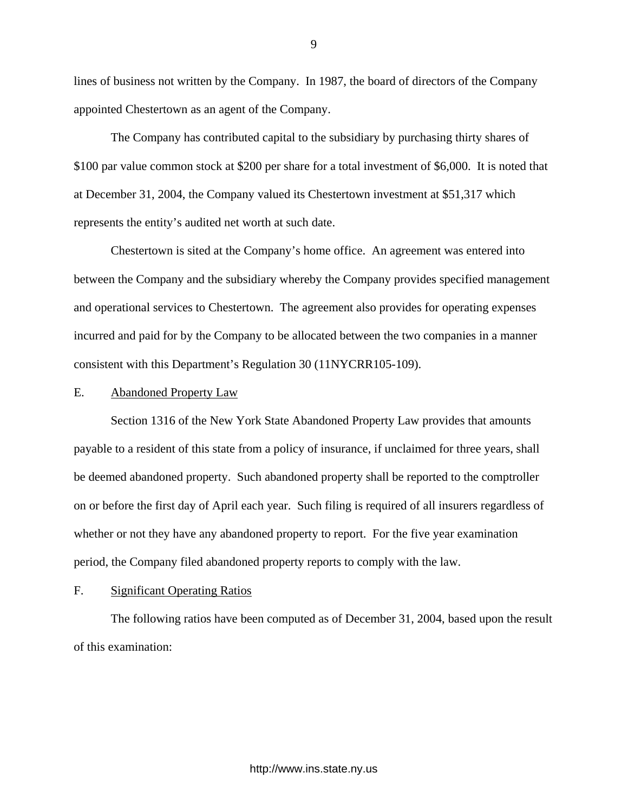<span id="page-10-0"></span>lines of business not written by the Company. In 1987, the board of directors of the Company appointed Chestertown as an agent of the Company.

The Company has contributed capital to the subsidiary by purchasing thirty shares of \$100 par value common stock at \$200 per share for a total investment of \$6,000. It is noted that at December 31, 2004, the Company valued its Chestertown investment at \$51,317 which represents the entity's audited net worth at such date.

Chestertown is sited at the Company's home office. An agreement was entered into between the Company and the subsidiary whereby the Company provides specified management and operational services to Chestertown. The agreement also provides for operating expenses incurred and paid for by the Company to be allocated between the two companies in a manner consistent with this Department's Regulation 30 (11NYCRR105-109).

## E. Abandoned Property Law

Section 1316 of the New York State Abandoned Property Law provides that amounts payable to a resident of this state from a policy of insurance, if unclaimed for three years, shall be deemed abandoned property. Such abandoned property shall be reported to the comptroller on or before the first day of April each year. Such filing is required of all insurers regardless of whether or not they have any abandoned property to report. For the five year examination period, the Company filed abandoned property reports to comply with the law.

## F. Significant Operating Ratios

The following ratios have been computed as of December 31, 2004, based upon the result of this examination: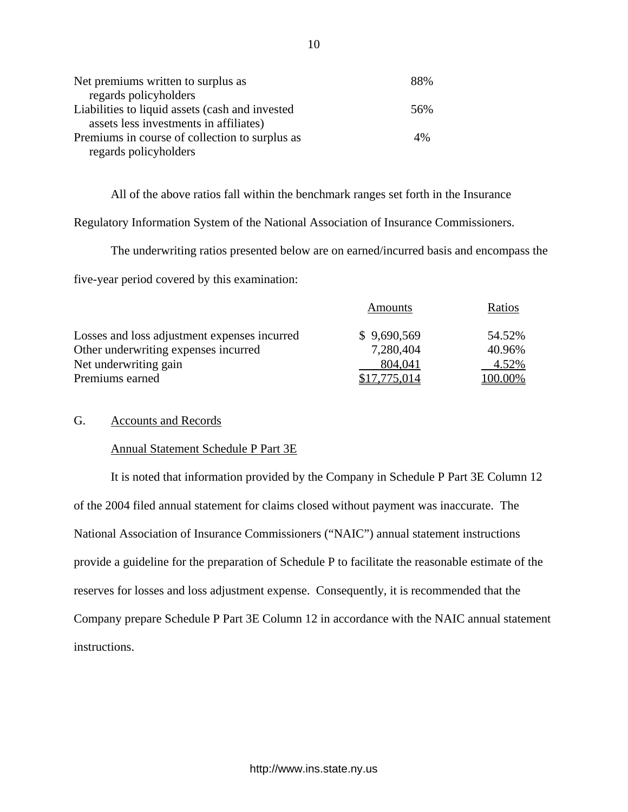| Net premiums written to surplus as              | 88% |
|-------------------------------------------------|-----|
| regards policyholders                           |     |
| Liabilities to liquid assets (cash and invested | 56% |
| assets less investments in affiliates)          |     |
| Premiums in course of collection to surplus as  | 4%  |
| regards policyholders                           |     |

All of the above ratios fall within the benchmark ranges set forth in the Insurance

Regulatory Information System of the National Association of Insurance Commissioners.

The underwriting ratios presented below are on earned/incurred basis and encompass the

five-year period covered by this examination:

|                                              | <b>Amounts</b> | Ratios  |
|----------------------------------------------|----------------|---------|
| Losses and loss adjustment expenses incurred | \$9,690,569    | 54.52%  |
| Other underwriting expenses incurred         | 7,280,404      | 40.96%  |
| Net underwriting gain                        | 804,041        | 4.52%   |
| Premiums earned                              | \$17,775,014   | 100.00% |

## G. Accounts and Records

## Annual Statement Schedule P Part 3E

It is noted that information provided by the Company in Schedule P Part 3E Column 12 of the 2004 filed annual statement for claims closed without payment was inaccurate. The National Association of Insurance Commissioners ("NAIC") annual statement instructions provide a guideline for the preparation of Schedule P to facilitate the reasonable estimate of the reserves for losses and loss adjustment expense. Consequently, it is recommended that the Company prepare Schedule P Part 3E Column 12 in accordance with the NAIC annual statement instructions.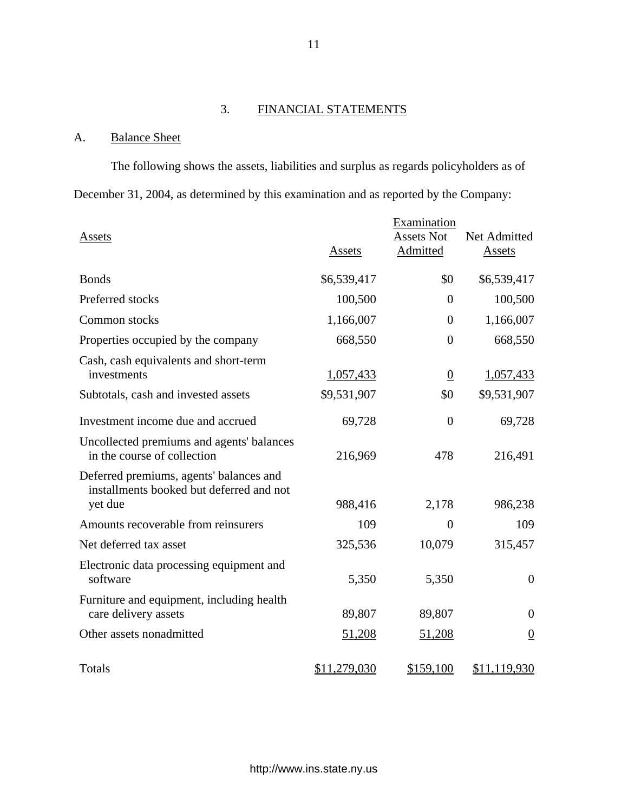## 3. FINANCIAL STATEMENTS

## A. Balance Sheet

The following shows the assets, liabilities and surplus as regards policyholders as of December 31, 2004, as determined by this examination and as reported by the Company:

| Assets                                                                                         | <b>Assets</b> | Examination<br><b>Assets Not</b><br><b>Admitted</b> | Net Admitted<br><b>Assets</b> |
|------------------------------------------------------------------------------------------------|---------------|-----------------------------------------------------|-------------------------------|
| <b>Bonds</b>                                                                                   | \$6,539,417   | \$0                                                 | \$6,539,417                   |
| Preferred stocks                                                                               | 100,500       | $\theta$                                            | 100,500                       |
| Common stocks                                                                                  | 1,166,007     | $\theta$                                            | 1,166,007                     |
| Properties occupied by the company                                                             | 668,550       | $\overline{0}$                                      | 668,550                       |
| Cash, cash equivalents and short-term<br>investments                                           | 1,057,433     | $\overline{0}$                                      | 1,057,433                     |
| Subtotals, cash and invested assets                                                            | \$9,531,907   | \$0                                                 | \$9,531,907                   |
| Investment income due and accrued                                                              | 69,728        | $\theta$                                            | 69,728                        |
| Uncollected premiums and agents' balances<br>in the course of collection                       | 216,969       | 478                                                 | 216,491                       |
| Deferred premiums, agents' balances and<br>installments booked but deferred and not<br>yet due | 988,416       | 2,178                                               | 986,238                       |
| Amounts recoverable from reinsurers                                                            | 109           | $\overline{0}$                                      | 109                           |
| Net deferred tax asset                                                                         | 325,536       | 10,079                                              | 315,457                       |
| Electronic data processing equipment and<br>software                                           | 5,350         | 5,350                                               | $\theta$                      |
| Furniture and equipment, including health<br>care delivery assets                              | 89,807        | 89,807                                              | $\theta$                      |
| Other assets nonadmitted                                                                       | 51,208        | 51,208                                              | $\overline{0}$                |
| Totals                                                                                         | \$11,279,030  | \$159,100                                           | \$11,119,930                  |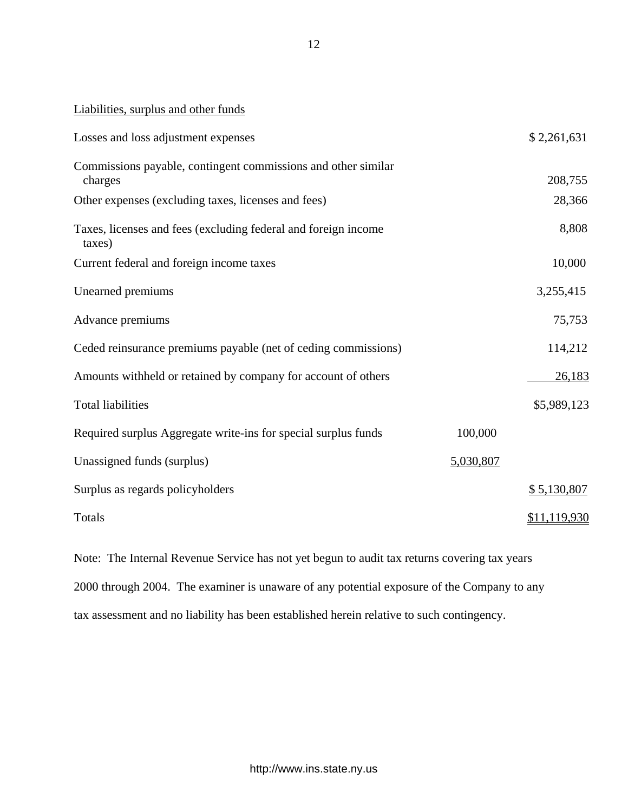| Losses and loss adjustment expenses                                      |           | \$2,261,631  |
|--------------------------------------------------------------------------|-----------|--------------|
| Commissions payable, contingent commissions and other similar<br>charges |           | 208,755      |
| Other expenses (excluding taxes, licenses and fees)                      |           | 28,366       |
| Taxes, licenses and fees (excluding federal and foreign income<br>taxes) |           | 8,808        |
| Current federal and foreign income taxes                                 |           | 10,000       |
| Unearned premiums                                                        |           | 3,255,415    |
| Advance premiums                                                         |           | 75,753       |
| Ceded reinsurance premiums payable (net of ceding commissions)           |           | 114,212      |
| Amounts withheld or retained by company for account of others            |           | 26,183       |
| <b>Total liabilities</b>                                                 |           | \$5,989,123  |
| Required surplus Aggregate write-ins for special surplus funds           | 100,000   |              |
| Unassigned funds (surplus)                                               | 5,030,807 |              |
| Surplus as regards policyholders                                         |           | \$5,130,807  |
| Totals                                                                   |           | \$11,119,930 |

Note: The Internal Revenue Service has not yet begun to audit tax returns covering tax years 2000 through 2004. The examiner is unaware of any potential exposure of the Company to any tax assessment and no liability has been established herein relative to such contingency.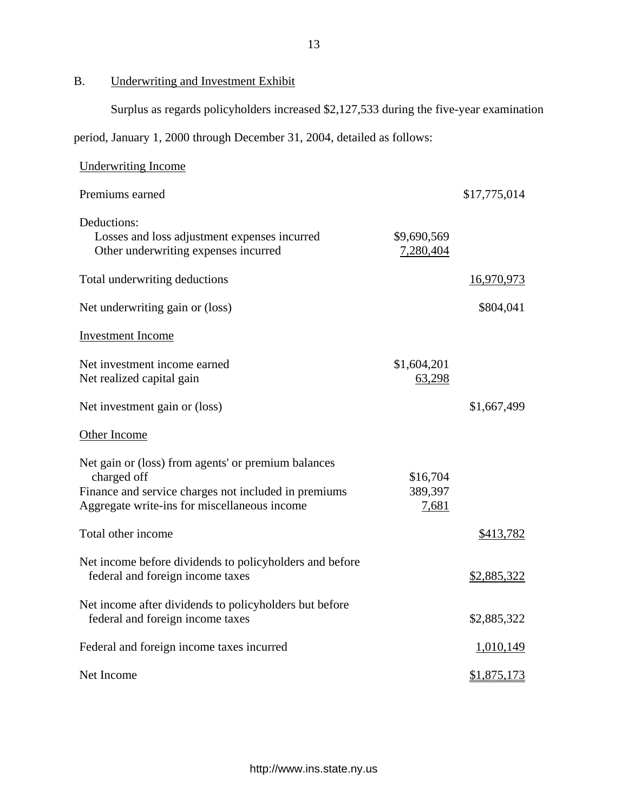B. Underwriting and Investment Exhibit

Surplus as regards policyholders increased \$2,127,533 during the five-year examination

period, January 1, 2000 through December 31, 2004, detailed as follows:

| <b>Underwriting Income</b>                                                                                                                                                 |                              |                    |
|----------------------------------------------------------------------------------------------------------------------------------------------------------------------------|------------------------------|--------------------|
| Premiums earned                                                                                                                                                            |                              | \$17,775,014       |
| Deductions:<br>Losses and loss adjustment expenses incurred<br>Other underwriting expenses incurred                                                                        | \$9,690,569<br>7,280,404     |                    |
| Total underwriting deductions                                                                                                                                              |                              | <u>16,970,973</u>  |
| Net underwriting gain or (loss)                                                                                                                                            |                              | \$804,041          |
| <b>Investment Income</b>                                                                                                                                                   |                              |                    |
| Net investment income earned<br>Net realized capital gain                                                                                                                  | \$1,604,201<br>63,298        |                    |
| Net investment gain or (loss)                                                                                                                                              |                              | \$1,667,499        |
| Other Income                                                                                                                                                               |                              |                    |
| Net gain or (loss) from agents' or premium balances<br>charged off<br>Finance and service charges not included in premiums<br>Aggregate write-ins for miscellaneous income | \$16,704<br>389,397<br>7,681 |                    |
| Total other income                                                                                                                                                         |                              | \$413,782          |
| Net income before dividends to policyholders and before<br>federal and foreign income taxes                                                                                |                              | \$2,885,322        |
| Net income after dividends to policyholders but before<br>federal and foreign income taxes                                                                                 |                              | \$2,885,322        |
| Federal and foreign income taxes incurred                                                                                                                                  |                              | 1,010,149          |
| Net Income                                                                                                                                                                 |                              | <u>\$1,875,173</u> |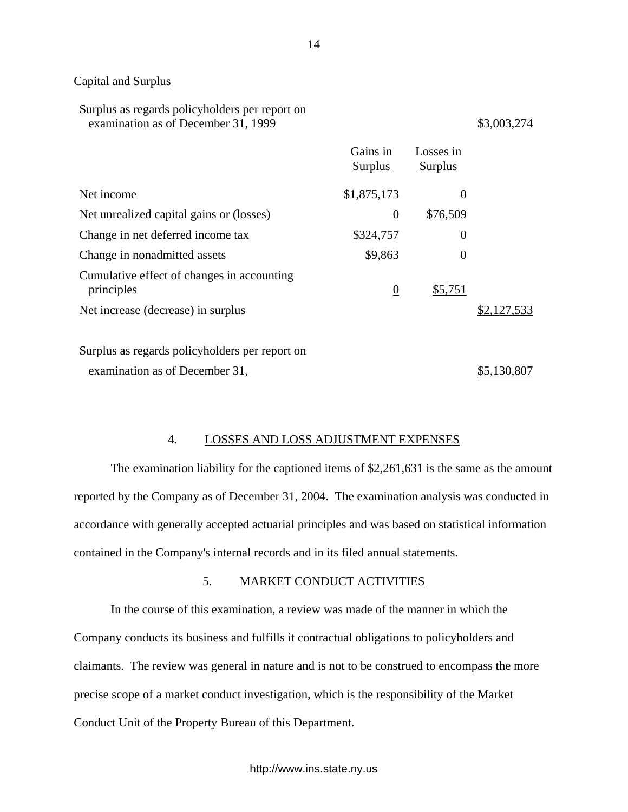## Capital and Surplus

| Surplus as regards policyholders per report on |
|------------------------------------------------|
| examination as of December 31, 1999            |

 $$3,003,274$ 

|                                                          | Gains in<br>Surplus | Losses in<br>Surplus |             |
|----------------------------------------------------------|---------------------|----------------------|-------------|
| Net income                                               | \$1,875,173         | $\theta$             |             |
| Net unrealized capital gains or (losses)                 | $\theta$            | \$76,509             |             |
| Change in net deferred income tax                        | \$324,757           | $\theta$             |             |
| Change in nonadmitted assets                             | \$9,863             | $\Omega$             |             |
| Cumulative effect of changes in accounting<br>principles | $\overline{0}$      | \$5,751              |             |
| Net increase (decrease) in surplus                       |                     |                      | \$2,127,533 |
|                                                          |                     |                      |             |

Surplus as regards policyholders per report on examination as of December 31,  $$5,130,807$ 

## 4. LOSSES AND LOSS ADJUSTMENT EXPENSES

The examination liability for the captioned items of \$2,261,631 is the same as the amount reported by the Company as of December 31, 2004. The examination analysis was conducted in accordance with generally accepted actuarial principles and was based on statistical information contained in the Company's internal records and in its filed annual statements.

## 5. MARKET CONDUCT ACTIVITIES

In the course of this examination, a review was made of the manner in which the Company conducts its business and fulfills it contractual obligations to policyholders and claimants. The review was general in nature and is not to be construed to encompass the more precise scope of a market conduct investigation, which is the responsibility of the Market Conduct Unit of the Property Bureau of this Department.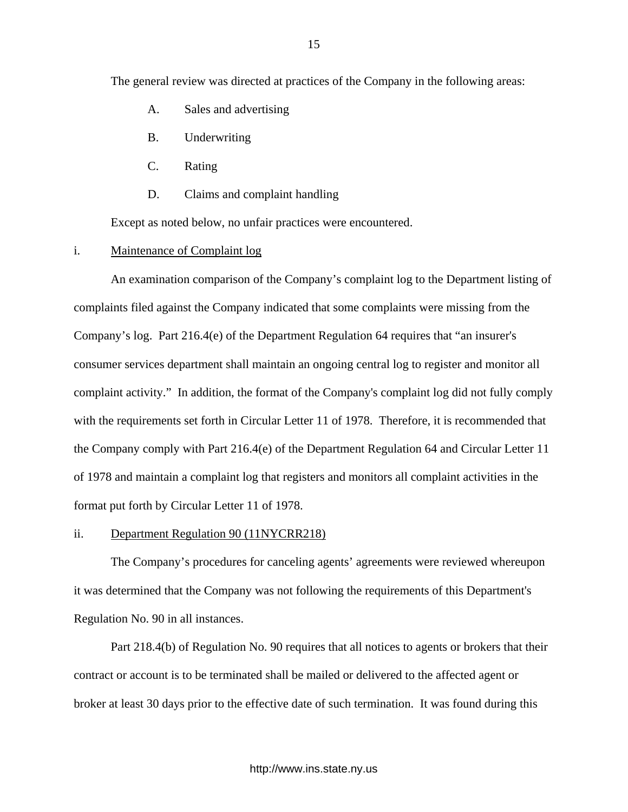The general review was directed at practices of the Company in the following areas:

- A. Sales and advertising
- B. Underwriting
- C. Rating
- D. Claims and complaint handling

Except as noted below, no unfair practices were encountered.

i. Maintenance of Complaint log

An examination comparison of the Company's complaint log to the Department listing of complaints filed against the Company indicated that some complaints were missing from the Company's log. Part 216.4(e) of the Department Regulation 64 requires that "an insurer's consumer services department shall maintain an ongoing central log to register and monitor all complaint activity." In addition, the format of the Company's complaint log did not fully comply with the requirements set forth in Circular Letter 11 of 1978. Therefore, it is recommended that the Company comply with Part 216.4(e) of the Department Regulation 64 and Circular Letter 11 of 1978 and maintain a complaint log that registers and monitors all complaint activities in the format put forth by Circular Letter 11 of 1978.

#### ii. Department Regulation 90 (11NYCRR218)

The Company's procedures for canceling agents' agreements were reviewed whereupon it was determined that the Company was not following the requirements of this Department's Regulation No. 90 in all instances.

Part 218.4(b) of Regulation No. 90 requires that all notices to agents or brokers that their contract or account is to be terminated shall be mailed or delivered to the affected agent or broker at least 30 days prior to the effective date of such termination. It was found during this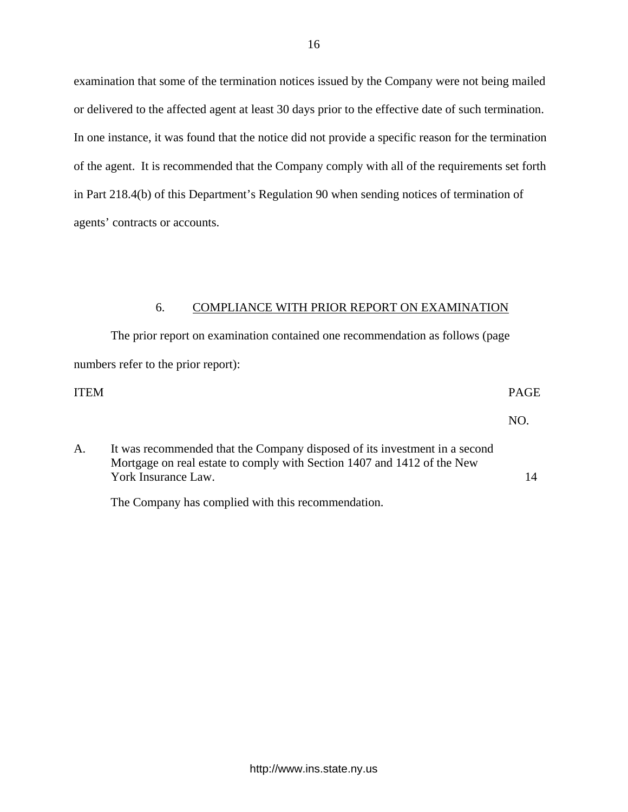<span id="page-17-0"></span>examination that some of the termination notices issued by the Company were not being mailed or delivered to the affected agent at least 30 days prior to the effective date of such termination. In one instance, it was found that the notice did not provide a specific reason for the termination of the agent. It is recommended that the Company comply with all of the requirements set forth in Part 218.4(b) of this Department's Regulation 90 when sending notices of termination of agents' contracts or accounts.

## 6. COMPLIANCE WITH PRIOR REPORT ON EXAMINATION

The prior report on examination contained one recommendation as follows (page numbers refer to the prior report):

## ITEM PAGE

NO.

14

A. It was recommended that the Company disposed of its investment in a second Mortgage on real estate to comply with Section 1407 and 1412 of the New York Insurance Law.

The Company has complied with this recommendation.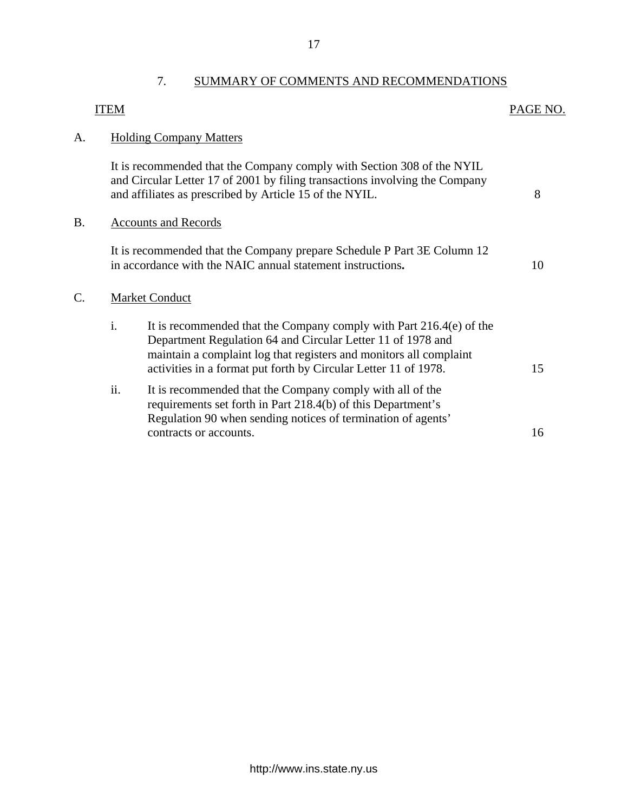<span id="page-18-0"></span>

|    | <b>ITEM</b> |                                                                                                                                                                                                                                                                             | PAGE NO. |
|----|-------------|-----------------------------------------------------------------------------------------------------------------------------------------------------------------------------------------------------------------------------------------------------------------------------|----------|
| A. |             | <b>Holding Company Matters</b>                                                                                                                                                                                                                                              |          |
|    |             | It is recommended that the Company comply with Section 308 of the NYIL<br>and Circular Letter 17 of 2001 by filing transactions involving the Company<br>and affiliates as prescribed by Article 15 of the NYIL.                                                            | 8        |
| B. |             | <b>Accounts and Records</b>                                                                                                                                                                                                                                                 |          |
|    |             | It is recommended that the Company prepare Schedule P Part 3E Column 12<br>in accordance with the NAIC annual statement instructions.                                                                                                                                       | 10       |
| Ċ. |             | <b>Market Conduct</b>                                                                                                                                                                                                                                                       |          |
|    | i.          | It is recommended that the Company comply with Part 216.4(e) of the<br>Department Regulation 64 and Circular Letter 11 of 1978 and<br>maintain a complaint log that registers and monitors all complaint<br>activities in a format put forth by Circular Letter 11 of 1978. | 15       |
|    | ii.         | It is recommended that the Company comply with all of the<br>requirements set forth in Part 218.4(b) of this Department's<br>Regulation 90 when sending notices of termination of agents'                                                                                   |          |
|    |             | contracts or accounts.                                                                                                                                                                                                                                                      | 16       |

C.

7. SUMMARY OF COMMENTS AND RECOMMENDATIONS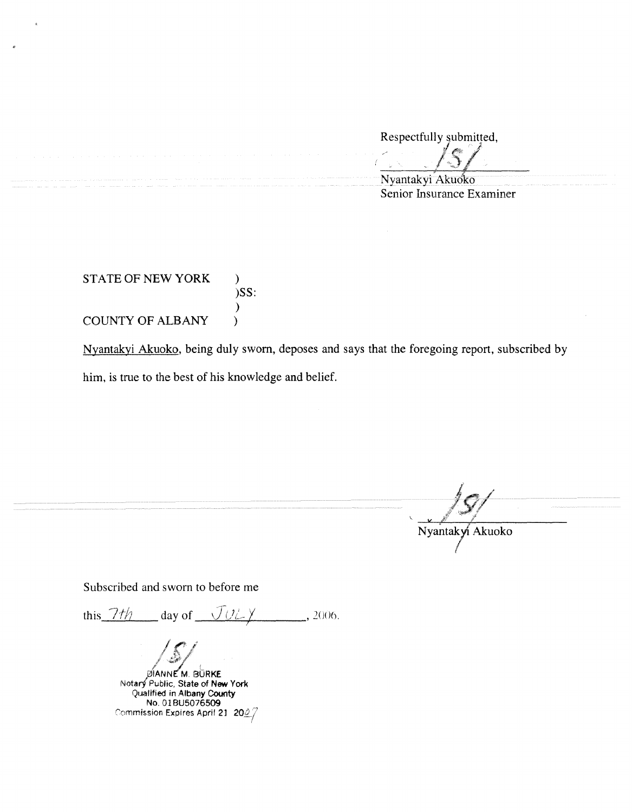Respectfully submitted, Respectfully submitt

Nyantakyi Akuoko Senior Insurance Examiner

STATE OF NEW YORK ) **)SS:**   $\lambda$ COUNTY OF ALBANY )

Nyantakyi Akuoko, being duly sworn, deposes and says that the foregoing report, subscribed by him, is true to the best of his knowledge and belief.

Nyantakyi Akuoko

Subscribed and sworn to before me

this  $7t\hbar$  day of  $UULY$ , 2006.

 $\sqrt{s/}$ 

**PIANNE M. BURKE** Notar/ Public, State of **New** York Qualified in Albany County No.OIBU5076509 Commission Expires April 21  $|$  20 $2/$  .